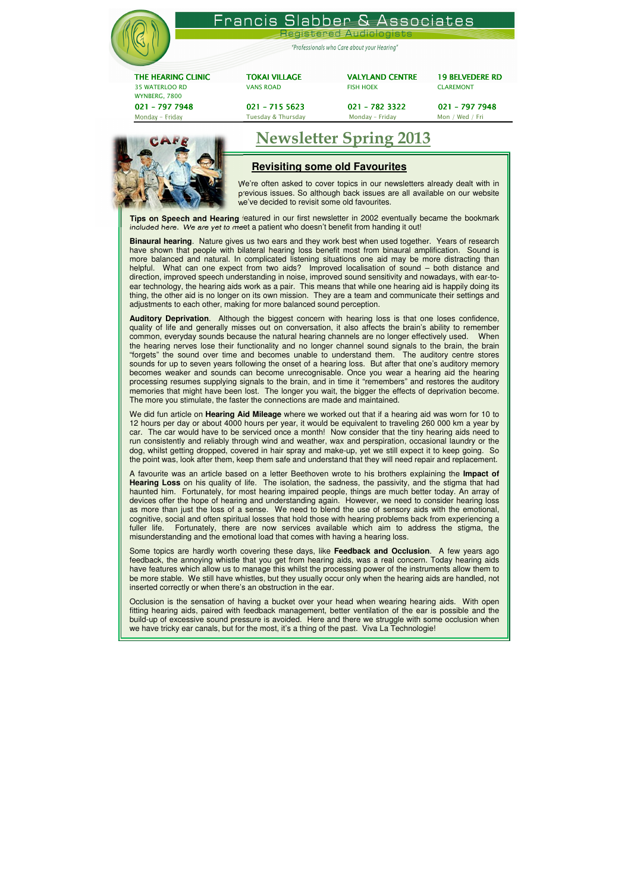|                                        | Francis Slabber & Associates                |                         |                        |
|----------------------------------------|---------------------------------------------|-------------------------|------------------------|
|                                        |                                             | Registered Audiologists |                        |
|                                        | "Professionals who Care about your Hearing" |                         |                        |
| THE HEARING CLINIC                     | <b>TOKAI VILLAGE</b>                        | <b>VALYLAND CENTRE</b>  | <b>19 BELVEDERE RD</b> |
| <b>35 WATERLOO RD</b><br>WYNBERG, 7800 | <b>VANS ROAD</b>                            | <b>FISH HOEK</b>        | <b>CLAREMONT</b>       |

021 –797 7948 797 021 –715 5623 715 5623 021 –782 3322 782 3322 021 –797 7948 797 79487948 Monday – Friday Monday – Friday Monday – Friday Monday – Friday Mon / Wed / Friday Mon / Wed / Friday Munday – Friday Munday – Friday Munday – Friday Munday – Friday Munday – Friday Munday – Friday Munday – Friday Munday –



# Newsletter Spring 2013

## **Revisiting some old Favourites**

We're often asked to cover topics in our newsletters already dealt with in previous issues. So although back issues are all available on our website we've decided to revisit some old favourites.

**Tips on Speech and Hearing** featured in our first newsletter in 2002 eventually became the bookmark included here. We are yet to meet a patient who doesn't benefit from handing it out!

**Binaural hearing**. Nature gives us two ears and they work best when used together. Years of research have shown that people with bilateral hearing loss benefit most from binaural amplification. Sound is more balanced and natural. In complicated listening situations one aid may be more distracting than helpful. What can one expect from two aids? Improved localisation of sound – both distance and direction, improved speech understanding in noise, improved sound sensitivity and nowadays, with ear-toear technology, the hearing aids work as a pair. This means that while one hearing aid is happily doing its thing, the other aid is no longer on its own mission. They are a team and communicate their settings and adjustments to each other, making for more balanced sound perception.

**Auditory Deprivation**. Although the biggest concern with hearing loss is that one loses confidence, quality of life and generally misses out on conversation, it also affects the brain's ability to remember common, everyday sounds because the natural hearing channels are no longer effectively used. When the hearing nerves lose their functionality and no longer channel sound signals to the brain, the brain "forgets" the sound over time and becomes unable to understand them. The auditory centre stores sounds for up to seven years following the onset of a hearing loss. But after that one's auditory memory becomes weaker and sounds can become unrecognisable. Once you wear a hearing aid the hearing processing resumes supplying signals to the brain, and in time it "remembers" and restores the auditory memories that might have been lost. The longer you wait, the bigger the effects of deprivation become. The more you stimulate, the faster the connections are made and maintained.

Occlusion is the sensation of having a bucket over your head when wearing hearing aids. With open fitting hearing aids, paired with feedback management, better ventilation of the ear is possible and the build-up of excessive sound pressure is avoided. Here and there we struggle with some occlusion when we have tricky ear canals, but for the most, it's a thing of the past. Viva La Technologie!

We did fun article on **Hearing Aid Mileage** where we worked out that if a hearing aid was worn for 10 to 12 hours per day or about 4000 hours per year, it would be equivalent to traveling 260 000 km a year by car. The car would have to be serviced once a month! Now consider that the tiny hearing aids need to run consistently and reliably through wind and weather, wax and perspiration, occasional laundry or the dog, whilst getting dropped, covered in hair spray and make-up, yet we still expect it to keep going. So the point was, look after them, keep them safe and understand that they will need repair and replacement.

A favourite was an article based on a letter Beethoven wrote to his brothers explaining the **Impact of Hearing Loss** on his quality of life. The isolation, the sadness, the passivity, and the stigma that had haunted him. Fortunately, for most hearing impaired people, things are much better today. An array of devices offer the hope of hearing and understanding again. However, we need to consider hearing loss as more than just the loss of a sense. We need to blend the use of sensory aids with the emotional, cognitive, social and often spiritual losses that hold those with hearing problems back from experiencing a fuller life. Fortunately, there are now services available which aim to address the stigma, the misunderstanding and the emotional load that comes with having a hearing loss.

Some topics are hardly worth covering these days, like **Feedback and Occlusion**. A few years ago feedback, the annoying whistle that you get from hearing aids, was a real concern. Today hearing aids have features which allow us to manage this whilst the processing power of the instruments allow them to be more stable. We still have whistles, but they usually occur only when the hearing aids are handled, not inserted correctly or when there's an obstruction in the ear.